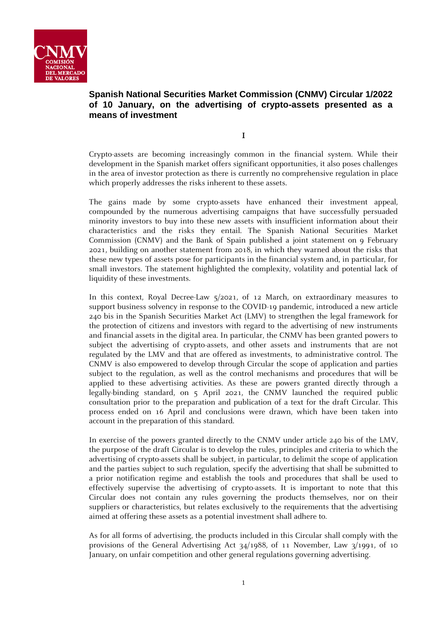

# **Spanish National Securities Market Commission (CNMV) Circular 1/2022 of 10 January, on the advertising of crypto-assets presented as a means of investment**

I

Crypto-assets are becoming increasingly common in the financial system. While their development in the Spanish market offers significant opportunities, it also poses challenges in the area of investor protection as there is currently no comprehensive regulation in place which properly addresses the risks inherent to these assets.

The gains made by some crypto-assets have enhanced their investment appeal, compounded by the numerous advertising campaigns that have successfully persuaded minority investors to buy into these new assets with insufficient information about their characteristics and the risks they entail. The Spanish National Securities Market Commission (CNMV) and the Bank of Spain published a joint statement on 9 February 2021, building on another statement from 2018, in which they warned about the risks that these new types of assets pose for participants in the financial system and, in particular, for small investors. The statement highlighted the complexity, volatility and potential lack of liquidity of these investments.

In this context, Royal Decree-Law 5/2021, of 12 March, on extraordinary measures to support business solvency in response to the COVID-19 pandemic, introduced a new article 240 bis in the Spanish Securities Market Act (LMV) to strengthen the legal framework for the protection of citizens and investors with regard to the advertising of new instruments and financial assets in the digital area. In particular, the CNMV has been granted powers to subject the advertising of crypto-assets, and other assets and instruments that are not regulated by the LMV and that are offered as investments, to administrative control. The CNMV is also empowered to develop through Circular the scope of application and parties subject to the regulation, as well as the control mechanisms and procedures that will be applied to these advertising activities. As these are powers granted directly through a legally-binding standard, on 5 April 2021, the CNMV launched the required public consultation prior to the preparation and publication of a text for the draft Circular. This process ended on 16 April and conclusions were drawn, which have been taken into account in the preparation of this standard.

In exercise of the powers granted directly to the CNMV under article 240 bis of the LMV, the purpose of the draft Circular is to develop the rules, principles and criteria to which the advertising of crypto-assets shall be subject, in particular, to delimit the scope of application and the parties subject to such regulation, specify the advertising that shall be submitted to a prior notification regime and establish the tools and procedures that shall be used to effectively supervise the advertising of crypto-assets. It is important to note that this Circular does not contain any rules governing the products themselves, nor on their suppliers or characteristics, but relates exclusively to the requirements that the advertising aimed at offering these assets as a potential investment shall adhere to.

As for all forms of advertising, the products included in this Circular shall comply with the provisions of the General Advertising Act 34/1988, of 11 November, Law 3/1991, of 10 January, on unfair competition and other general regulations governing advertising.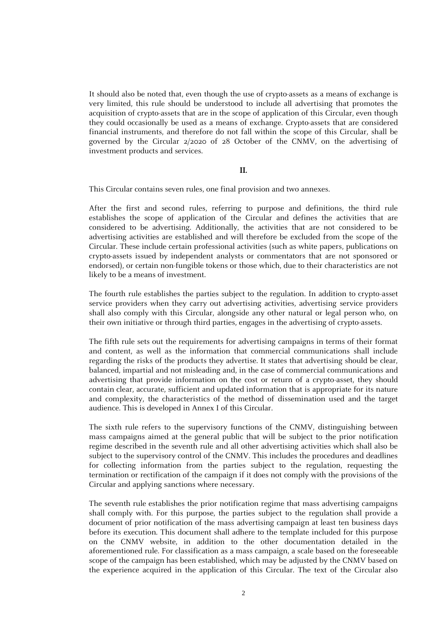It should also be noted that, even though the use of crypto-assets as a means of exchange is very limited, this rule should be understood to include all advertising that promotes the acquisition of crypto-assets that are in the scope of application of this Circular, even though they could occasionally be used as a means of exchange. Crypto-assets that are considered financial instruments, and therefore do not fall within the scope of this Circular, shall be governed by the Circular 2/2020 of 28 October of the CNMV, on the advertising of investment products and services.

#### II.

This Circular contains seven rules, one final provision and two annexes.

After the first and second rules, referring to purpose and definitions, the third rule establishes the scope of application of the Circular and defines the activities that are considered to be advertising. Additionally, the activities that are not considered to be advertising activities are established and will therefore be excluded from the scope of the Circular. These include certain professional activities (such as white papers, publications on crypto-assets issued by independent analysts or commentators that are not sponsored or endorsed), or certain non-fungible tokens or those which, due to their characteristics are not likely to be a means of investment.

The fourth rule establishes the parties subject to the regulation. In addition to crypto-asset service providers when they carry out advertising activities, advertising service providers shall also comply with this Circular, alongside any other natural or legal person who, on their own initiative or through third parties, engages in the advertising of crypto-assets.

The fifth rule sets out the requirements for advertising campaigns in terms of their format and content, as well as the information that commercial communications shall include regarding the risks of the products they advertise. It states that advertising should be clear, balanced, impartial and not misleading and, in the case of commercial communications and advertising that provide information on the cost or return of a crypto-asset, they should contain clear, accurate, sufficient and updated information that is appropriate for its nature and complexity, the characteristics of the method of dissemination used and the target audience. This is developed in Annex I of this Circular.

The sixth rule refers to the supervisory functions of the CNMV, distinguishing between mass campaigns aimed at the general public that will be subject to the prior notification regime described in the seventh rule and all other advertising activities which shall also be subject to the supervisory control of the CNMV. This includes the procedures and deadlines for collecting information from the parties subject to the regulation, requesting the termination or rectification of the campaign if it does not comply with the provisions of the Circular and applying sanctions where necessary.

The seventh rule establishes the prior notification regime that mass advertising campaigns shall comply with. For this purpose, the parties subject to the regulation shall provide a document of prior notification of the mass advertising campaign at least ten business days before its execution. This document shall adhere to the template included for this purpose on the CNMV website, in addition to the other documentation detailed in the aforementioned rule. For classification as a mass campaign, a scale based on the foreseeable scope of the campaign has been established, which may be adjusted by the CNMV based on the experience acquired in the application of this Circular. The text of the Circular also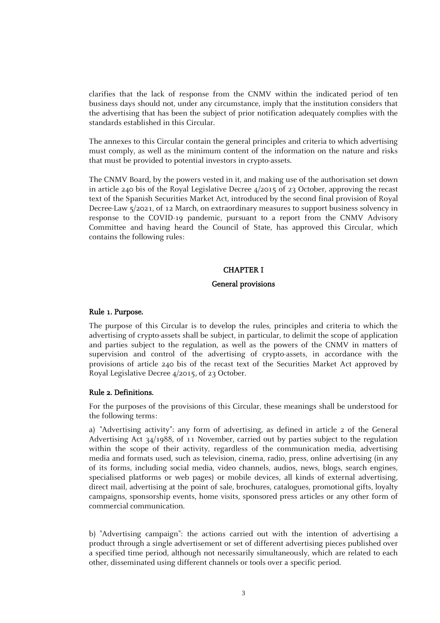clarifies that the lack of response from the CNMV within the indicated period of ten business days should not, under any circumstance, imply that the institution considers that the advertising that has been the subject of prior notification adequately complies with the standards established in this Circular.

The annexes to this Circular contain the general principles and criteria to which advertising must comply, as well as the minimum content of the information on the nature and risks that must be provided to potential investors in crypto-assets.

The CNMV Board, by the powers vested in it, and making use of the authorisation set down in article 240 bis of the Royal Legislative Decree 4/2015 of 23 October, approving the recast text of the Spanish Securities Market Act, introduced by the second final provision of Royal Decree-Law 5/2021, of 12 March, on extraordinary measures to support business solvency in response to the COVID-19 pandemic, pursuant to a report from the CNMV Advisory Committee and having heard the Council of State, has approved this Circular, which contains the following rules:

# CHAPTER I

# General provisions

#### Rule 1. Purpose.

The purpose of this Circular is to develop the rules, principles and criteria to which the advertising of crypto-assets shall be subject, in particular, to delimit the scope of application and parties subject to the regulation, as well as the powers of the CNMV in matters of supervision and control of the advertising of crypto-assets, in accordance with the provisions of article 240 bis of the recast text of the Securities Market Act approved by Royal Legislative Decree 4/2015, of 23 October.

#### Rule 2. Definitions.

For the purposes of the provisions of this Circular, these meanings shall be understood for the following terms:

a) "Advertising activity": any form of advertising, as defined in article 2 of the General Advertising Act 34/1988, of 11 November, carried out by parties subject to the regulation within the scope of their activity, regardless of the communication media, advertising media and formats used, such as television, cinema, radio, press, online advertising (in any of its forms, including social media, video channels, audios, news, blogs, search engines, specialised platforms or web pages) or mobile devices, all kinds of external advertising, direct mail, advertising at the point of sale, brochures, catalogues, promotional gifts, loyalty campaigns, sponsorship events, home visits, sponsored press articles or any other form of commercial communication.

b) "Advertising campaign": the actions carried out with the intention of advertising a product through a single advertisement or set of different advertising pieces published over a specified time period, although not necessarily simultaneously, which are related to each other, disseminated using different channels or tools over a specific period.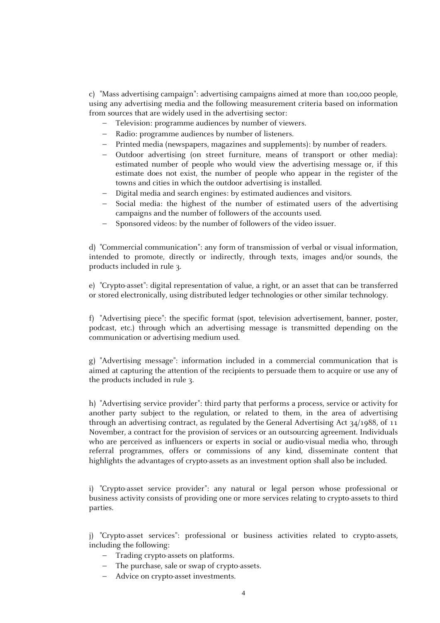c) "Mass advertising campaign": advertising campaigns aimed at more than 100,000 people, using any advertising media and the following measurement criteria based on information from sources that are widely used in the advertising sector:

- Television: programme audiences by number of viewers.
- Radio: programme audiences by number of listeners.
- Printed media (newspapers, magazines and supplements): by number of readers.
- Outdoor advertising (on street furniture, means of transport or other media): estimated number of people who would view the advertising message or, if this estimate does not exist, the number of people who appear in the register of the towns and cities in which the outdoor advertising is installed.
- Digital media and search engines: by estimated audiences and visitors.
- Social media: the highest of the number of estimated users of the advertising campaigns and the number of followers of the accounts used.
- Sponsored videos: by the number of followers of the video issuer.

d) "Commercial communication": any form of transmission of verbal or visual information, intended to promote, directly or indirectly, through texts, images and/or sounds, the products included in rule 3.

e) "Crypto-asset": digital representation of value, a right, or an asset that can be transferred or stored electronically, using distributed ledger technologies or other similar technology.

f) "Advertising piece": the specific format (spot, television advertisement, banner, poster, podcast, etc.) through which an advertising message is transmitted depending on the communication or advertising medium used.

g) "Advertising message": information included in a commercial communication that is aimed at capturing the attention of the recipients to persuade them to acquire or use any of the products included in rule 3.

h) "Advertising service provider": third party that performs a process, service or activity for another party subject to the regulation, or related to them, in the area of advertising through an advertising contract, as regulated by the General Advertising Act 34/1988, of 11 November, a contract for the provision of services or an outsourcing agreement. Individuals who are perceived as influencers or experts in social or audio-visual media who, through referral programmes, offers or commissions of any kind, disseminate content that highlights the advantages of crypto-assets as an investment option shall also be included.

i) "Crypto-asset service provider": any natural or legal person whose professional or business activity consists of providing one or more services relating to crypto-assets to third parties.

j) "Crypto-asset services": professional or business activities related to crypto-assets, including the following:

- Trading crypto-assets on platforms.
- The purchase, sale or swap of crypto-assets.
- Advice on crypto-asset investments.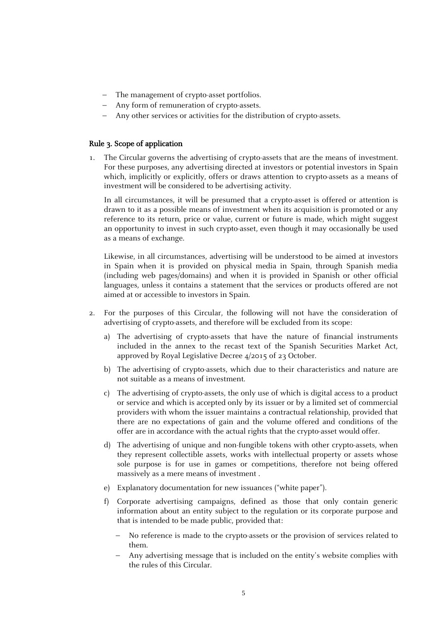- The management of crypto-asset portfolios.
- Any form of remuneration of crypto-assets.
- Any other services or activities for the distribution of crypto-assets.

# Rule 3. Scope of application

1. The Circular governs the advertising of crypto-assets that are the means of investment. For these purposes, any advertising directed at investors or potential investors in Spain which, implicitly or explicitly, offers or draws attention to crypto-assets as a means of investment will be considered to be advertising activity.

In all circumstances, it will be presumed that a crypto-asset is offered or attention is drawn to it as a possible means of investment when its acquisition is promoted or any reference to its return, price or value, current or future is made, which might suggest an opportunity to invest in such crypto-asset, even though it may occasionally be used as a means of exchange.

Likewise, in all circumstances, advertising will be understood to be aimed at investors in Spain when it is provided on physical media in Spain, through Spanish media (including web pages/domains) and when it is provided in Spanish or other official languages, unless it contains a statement that the services or products offered are not aimed at or accessible to investors in Spain.

- 2. For the purposes of this Circular, the following will not have the consideration of advertising of crypto-assets, and therefore will be excluded from its scope:
	- a) The advertising of crypto-assets that have the nature of financial instruments included in the annex to the recast text of the Spanish Securities Market Act, approved by Royal Legislative Decree 4/2015 of 23 October.
	- b) The advertising of crypto-assets, which due to their characteristics and nature are not suitable as a means of investment.
	- c) The advertising of crypto-assets, the only use of which is digital access to a product or service and which is accepted only by its issuer or by a limited set of commercial providers with whom the issuer maintains a contractual relationship, provided that there are no expectations of gain and the volume offered and conditions of the offer are in accordance with the actual rights that the crypto-asset would offer.
	- d) The advertising of unique and non-fungible tokens with other crypto-assets, when they represent collectible assets, works with intellectual property or assets whose sole purpose is for use in games or competitions, therefore not being offered massively as a mere means of investment .
	- e) Explanatory documentation for new issuances ("white paper").
	- f) Corporate advertising campaigns, defined as those that only contain generic information about an entity subject to the regulation or its corporate purpose and that is intended to be made public, provided that:
		- No reference is made to the crypto-assets or the provision of services related to them.
		- Any advertising message that is included on the entity's website complies with the rules of this Circular.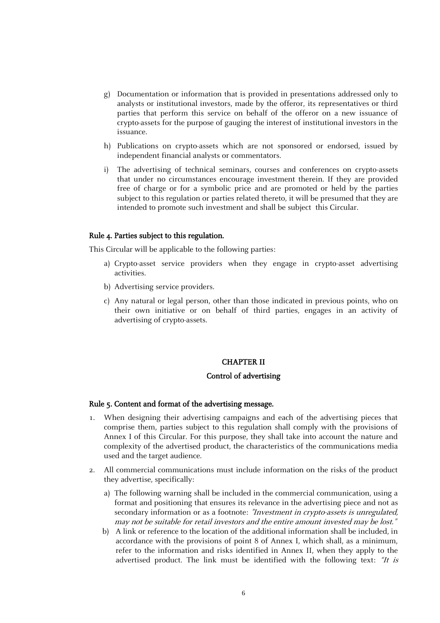- g) Documentation or information that is provided in presentations addressed only to analysts or institutional investors, made by the offeror, its representatives or third parties that perform this service on behalf of the offeror on a new issuance of crypto-assets for the purpose of gauging the interest of institutional investors in the issuance.
- h) Publications on crypto-assets which are not sponsored or endorsed, issued by independent financial analysts or commentators.
- i) The advertising of technical seminars, courses and conferences on crypto-assets that under no circumstances encourage investment therein. If they are provided free of charge or for a symbolic price and are promoted or held by the parties subject to this regulation or parties related thereto, it will be presumed that they are intended to promote such investment and shall be subject this Circular.

#### Rule 4. Parties subject to this regulation.

This Circular will be applicable to the following parties:

- a) Crypto-asset service providers when they engage in crypto-asset advertising activities.
- b) Advertising service providers.
- c) Any natural or legal person, other than those indicated in previous points, who on their own initiative or on behalf of third parties, engages in an activity of advertising of crypto-assets.

# CHAPTER II

#### Control of advertising

#### Rule 5. Content and format of the advertising message.

- 1. When designing their advertising campaigns and each of the advertising pieces that comprise them, parties subject to this regulation shall comply with the provisions of Annex I of this Circular. For this purpose, they shall take into account the nature and complexity of the advertised product, the characteristics of the communications media used and the target audience.
- 2. All commercial communications must include information on the risks of the product they advertise, specifically:
	- a) The following warning shall be included in the commercial communication, using a format and positioning that ensures its relevance in the advertising piece and not as secondary information or as a footnote: *"Investment in crypto-assets is unregulated*, may not be suitable for retail investors and the entire amount invested may be lost."
	- b) A link or reference to the location of the additional information shall be included, in accordance with the provisions of point 8 of Annex I, which shall, as a minimum, refer to the information and risks identified in Annex II, when they apply to the advertised product. The link must be identified with the following text: "It is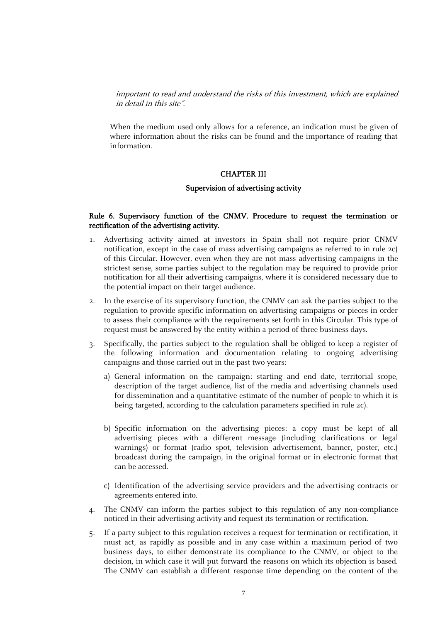important to read and understand the risks of this investment, which are explained in detail in this site".

When the medium used only allows for a reference, an indication must be given of where information about the risks can be found and the importance of reading that information.

# CHAPTER III

#### Supervision of advertising activity

# Rule 6. Supervisory function of the CNMV. Procedure to request the termination or rectification of the advertising activity.

- 1. Advertising activity aimed at investors in Spain shall not require prior CNMV notification, except in the case of mass advertising campaigns as referred to in rule 2c) of this Circular. However, even when they are not mass advertising campaigns in the strictest sense, some parties subject to the regulation may be required to provide prior notification for all their advertising campaigns, where it is considered necessary due to the potential impact on their target audience.
- 2. In the exercise of its supervisory function, the CNMV can ask the parties subject to the regulation to provide specific information on advertising campaigns or pieces in order to assess their compliance with the requirements set forth in this Circular. This type of request must be answered by the entity within a period of three business days.
- 3. Specifically, the parties subject to the regulation shall be obliged to keep a register of the following information and documentation relating to ongoing advertising campaigns and those carried out in the past two years:
	- a) General information on the campaign: starting and end date, territorial scope, description of the target audience, list of the media and advertising channels used for dissemination and a quantitative estimate of the number of people to which it is being targeted, according to the calculation parameters specified in rule 2c).
	- b) Specific information on the advertising pieces: a copy must be kept of all advertising pieces with a different message (including clarifications or legal warnings) or format (radio spot, television advertisement, banner, poster, etc.) broadcast during the campaign, in the original format or in electronic format that can be accessed.
	- c) Identification of the advertising service providers and the advertising contracts or agreements entered into.
- 4. The CNMV can inform the parties subject to this regulation of any non-compliance noticed in their advertising activity and request its termination or rectification.
- 5. If a party subject to this regulation receives a request for termination or rectification, it must act, as rapidly as possible and in any case within a maximum period of two business days, to either demonstrate its compliance to the CNMV, or object to the decision, in which case it will put forward the reasons on which its objection is based. The CNMV can establish a different response time depending on the content of the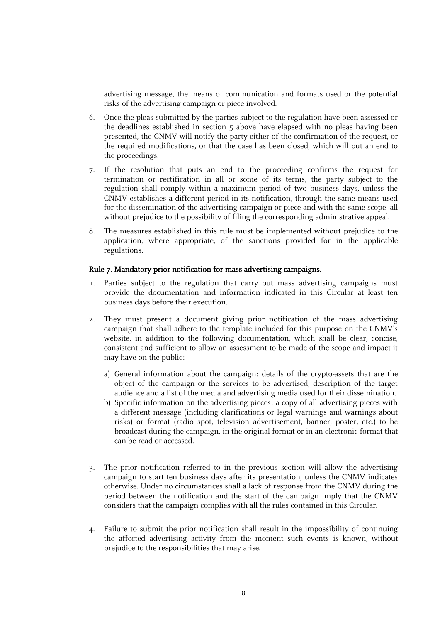advertising message, the means of communication and formats used or the potential risks of the advertising campaign or piece involved.

- 6. Once the pleas submitted by the parties subject to the regulation have been assessed or the deadlines established in section 5 above have elapsed with no pleas having been presented, the CNMV will notify the party either of the confirmation of the request, or the required modifications, or that the case has been closed, which will put an end to the proceedings.
- 7. If the resolution that puts an end to the proceeding confirms the request for termination or rectification in all or some of its terms, the party subject to the regulation shall comply within a maximum period of two business days, unless the CNMV establishes a different period in its notification, through the same means used for the dissemination of the advertising campaign or piece and with the same scope, all without prejudice to the possibility of filing the corresponding administrative appeal.
- 8. The measures established in this rule must be implemented without prejudice to the application, where appropriate, of the sanctions provided for in the applicable regulations.

# Rule 7. Mandatory prior notification for mass advertising campaigns.

- 1. Parties subject to the regulation that carry out mass advertising campaigns must provide the documentation and information indicated in this Circular at least ten business days before their execution.
- 2. They must present a document giving prior notification of the mass advertising campaign that shall adhere to the template included for this purpose on the CNMV's website, in addition to the following documentation, which shall be clear, concise, consistent and sufficient to allow an assessment to be made of the scope and impact it may have on the public:
	- a) General information about the campaign: details of the crypto-assets that are the object of the campaign or the services to be advertised, description of the target audience and a list of the media and advertising media used for their dissemination.
	- b) Specific information on the advertising pieces: a copy of all advertising pieces with a different message (including clarifications or legal warnings and warnings about risks) or format (radio spot, television advertisement, banner, poster, etc.) to be broadcast during the campaign, in the original format or in an electronic format that can be read or accessed.
- 3. The prior notification referred to in the previous section will allow the advertising campaign to start ten business days after its presentation, unless the CNMV indicates otherwise. Under no circumstances shall a lack of response from the CNMV during the period between the notification and the start of the campaign imply that the CNMV considers that the campaign complies with all the rules contained in this Circular.
- 4. Failure to submit the prior notification shall result in the impossibility of continuing the affected advertising activity from the moment such events is known, without prejudice to the responsibilities that may arise.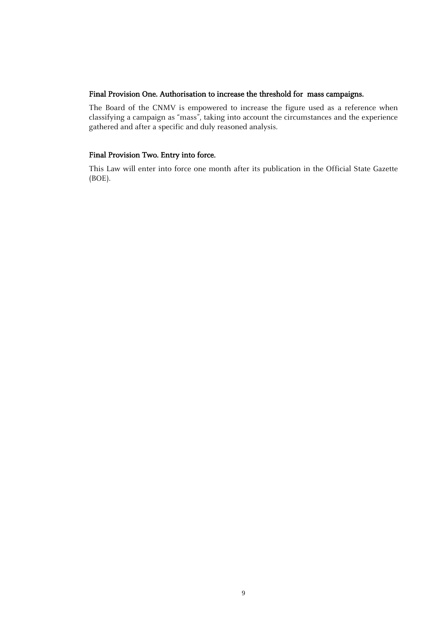# Final Provision One. Authorisation to increase the threshold for mass campaigns.

The Board of the CNMV is empowered to increase the figure used as a reference when classifying a campaign as "mass", taking into account the circumstances and the experience gathered and after a specific and duly reasoned analysis.

# Final Provision Two. Entry into force.

This Law will enter into force one month after its publication in the Official State Gazette (BOE).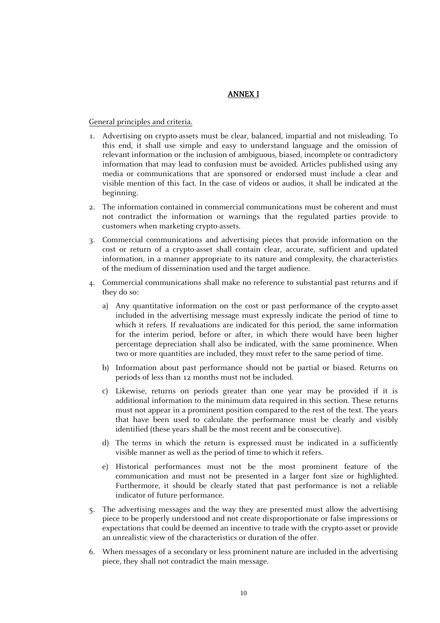# ANNEX I

General principles and criteria.

- 1. Advertising on crypto-assets must be clear, balanced, impartial and not misleading. To this end, it shall use simple and easy to understand language and the omission of relevant information or the inclusion of ambiguous, biased, incomplete or contradictory information that may lead to confusion must be avoided. Articles published using any media or communications that are sponsored or endorsed must include a clear and visible mention of this fact. In the case of videos or audios, it shall be indicated at the beginning.
- 2. The information contained in commercial communications must be coherent and must not contradict the information or warnings that the regulated parties provide to customers when marketing crypto-assets.
- 3. Commercial communications and advertising pieces that provide information on the cost or return of a crypto-asset shall contain clear, accurate, sufficient and updated information, in a manner appropriate to its nature and complexity, the characteristics of the medium of dissemination used and the target audience.
- 4. Commercial communications shall make no reference to substantial past returns and if they do so:
	- a) Any quantitative information on the cost or past performance of the crypto-asset included in the advertising message must expressly indicate the period of time to which it refers. If revaluations are indicated for this period, the same information for the interim period, before or after, in which there would have been higher percentage depreciation shall also be indicated, with the same prominence. When two or more quantities are included, they must refer to the same period of time.
	- b) Information about past performance should not be partial or biased. Returns on periods of less than 12 months must not be included.
	- c) Likewise, returns on periods greater than one year may be provided if it is additional information to the minimum data required in this section. These returns must not appear in a prominent position compared to the rest of the text. The years that have been used to calculate the performance must be clearly and visibly identified (these years shall be the most recent and be consecutive).
	- d) The terms in which the return is expressed must be indicated in a sufficiently visible manner as well as the period of time to which it refers.
	- e) Historical performances must not be the most prominent feature of the communication and must not be presented in a larger font size or highlighted. Furthermore, it should be clearly stated that past performance is not a reliable indicator of future performance.
- 5. The advertising messages and the way they are presented must allow the advertising piece to be properly understood and not create disproportionate or false impressions or expectations that could be deemed an incentive to trade with the crypto-asset or provide an unrealistic view of the characteristics or duration of the offer.
- 6. When messages of a secondary or less prominent nature are included in the advertising piece, they shall not contradict the main message.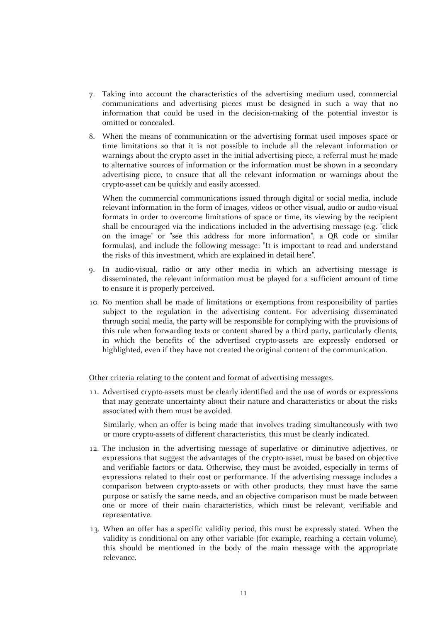- 7. Taking into account the characteristics of the advertising medium used, commercial communications and advertising pieces must be designed in such a way that no information that could be used in the decision-making of the potential investor is omitted or concealed.
- 8. When the means of communication or the advertising format used imposes space or time limitations so that it is not possible to include all the relevant information or warnings about the crypto-asset in the initial advertising piece, a referral must be made to alternative sources of information or the information must be shown in a secondary advertising piece, to ensure that all the relevant information or warnings about the crypto-asset can be quickly and easily accessed.

When the commercial communications issued through digital or social media, include relevant information in the form of images, videos or other visual, audio or audio-visual formats in order to overcome limitations of space or time, its viewing by the recipient shall be encouraged via the indications included in the advertising message (e.g. "click on the image" or "see this address for more information", a QR code or similar formulas), and include the following message: "It is important to read and understand the risks of this investment, which are explained in detail here".

- 9. In audio-visual, radio or any other media in which an advertising message is disseminated, the relevant information must be played for a sufficient amount of time to ensure it is properly perceived.
- 10. No mention shall be made of limitations or exemptions from responsibility of parties subject to the regulation in the advertising content. For advertising disseminated through social media, the party will be responsible for complying with the provisions of this rule when forwarding texts or content shared by a third party, particularly clients, in which the benefits of the advertised crypto-assets are expressly endorsed or highlighted, even if they have not created the original content of the communication.

#### Other criteria relating to the content and format of advertising messages.

11. Advertised crypto-assets must be clearly identified and the use of words or expressions that may generate uncertainty about their nature and characteristics or about the risks associated with them must be avoided.

Similarly, when an offer is being made that involves trading simultaneously with two or more crypto-assets of different characteristics, this must be clearly indicated.

- 12. The inclusion in the advertising message of superlative or diminutive adjectives, or expressions that suggest the advantages of the crypto-asset, must be based on objective and verifiable factors or data. Otherwise, they must be avoided, especially in terms of expressions related to their cost or performance. If the advertising message includes a comparison between crypto-assets or with other products, they must have the same purpose or satisfy the same needs, and an objective comparison must be made between one or more of their main characteristics, which must be relevant, verifiable and representative.
- 13. When an offer has a specific validity period, this must be expressly stated. When the validity is conditional on any other variable (for example, reaching a certain volume), this should be mentioned in the body of the main message with the appropriate relevance.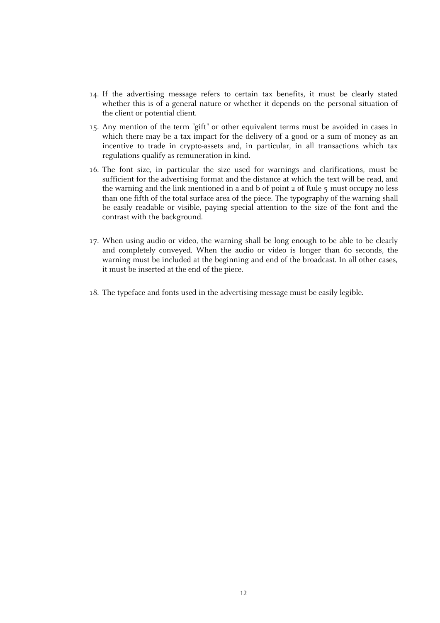- 14. If the advertising message refers to certain tax benefits, it must be clearly stated whether this is of a general nature or whether it depends on the personal situation of the client or potential client.
- 15. Any mention of the term "gift" or other equivalent terms must be avoided in cases in which there may be a tax impact for the delivery of a good or a sum of money as an incentive to trade in crypto-assets and, in particular, in all transactions which tax regulations qualify as remuneration in kind.
- 16. The font size, in particular the size used for warnings and clarifications, must be sufficient for the advertising format and the distance at which the text will be read, and the warning and the link mentioned in a and b of point 2 of Rule 5 must occupy no less than one fifth of the total surface area of the piece. The typography of the warning shall be easily readable or visible, paying special attention to the size of the font and the contrast with the background.
- 17. When using audio or video, the warning shall be long enough to be able to be clearly and completely conveyed. When the audio or video is longer than 60 seconds, the warning must be included at the beginning and end of the broadcast. In all other cases, it must be inserted at the end of the piece.
- 18. The typeface and fonts used in the advertising message must be easily legible.